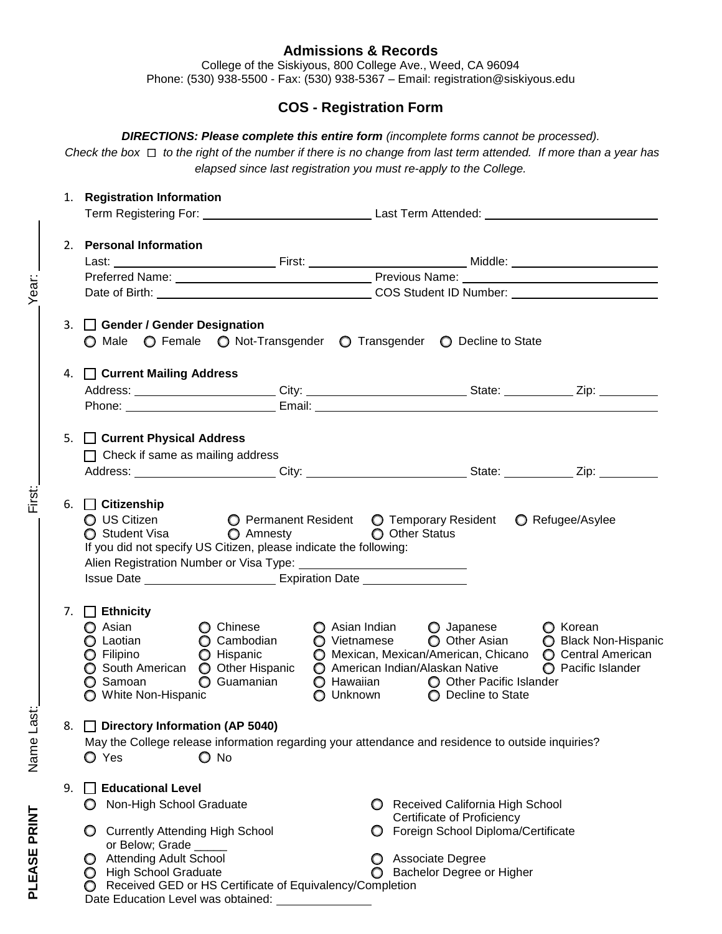## **Admissions & Records**

College of the Siskiyous, 800 College Ave., Weed, CA 96094 Phone: (530) 938-5500 - Fax: (530) 938-5367 – Email: registration@siskiyous.edu

# **COS - Registration Form**

*DIRECTIONS: Please complete this entire form (incomplete forms cannot be processed).*

*Check the box to the right of the number if there is no change from last term attended. If more than a year has elapsed since last registration you must re-apply to the College.*

| 1. | <b>Registration Information</b>                                                                                                                                                                             |                                                              |                                                                                                                                                                                                                                                        |                  |
|----|-------------------------------------------------------------------------------------------------------------------------------------------------------------------------------------------------------------|--------------------------------------------------------------|--------------------------------------------------------------------------------------------------------------------------------------------------------------------------------------------------------------------------------------------------------|------------------|
|    |                                                                                                                                                                                                             |                                                              |                                                                                                                                                                                                                                                        |                  |
| 2. | <b>Personal Information</b>                                                                                                                                                                                 |                                                              |                                                                                                                                                                                                                                                        |                  |
|    |                                                                                                                                                                                                             |                                                              |                                                                                                                                                                                                                                                        |                  |
|    |                                                                                                                                                                                                             |                                                              |                                                                                                                                                                                                                                                        |                  |
|    |                                                                                                                                                                                                             |                                                              |                                                                                                                                                                                                                                                        |                  |
|    | 3. Gender / Gender Designation<br>○ Male ○ Female ○ Not-Transgender ○ Transgender ○ Decline to State                                                                                                        |                                                              |                                                                                                                                                                                                                                                        |                  |
|    | 4. Current Mailing Address                                                                                                                                                                                  |                                                              |                                                                                                                                                                                                                                                        |                  |
|    | Address: _________________________City: _______________________________State: _____________Zip: _____________                                                                                               |                                                              |                                                                                                                                                                                                                                                        |                  |
|    |                                                                                                                                                                                                             |                                                              |                                                                                                                                                                                                                                                        |                  |
|    | 5. Current Physical Address<br>$\Box$ Check if same as mailing address                                                                                                                                      |                                                              |                                                                                                                                                                                                                                                        |                  |
|    | 6. $\Box$ Citizenship<br>$\bigcirc$ US Citizen $\bigcirc$ Permanent Resident $\bigcirc$ Temporary Resident<br>○ Student Visa ○ Amnesty<br>If you did not specify US Citizen, please indicate the following: |                                                              | O Other Status                                                                                                                                                                                                                                         | ◯ Refugee/Asylee |
|    | 7. $\Box$ Ethnicity<br>◯ Asian<br>◯ Chinese<br>◯ Laotian<br>$\bigcirc$ Filipino<br>$\bigcirc$ Hispanic<br>◯ South American ◯ Other Hispanic<br>◯ Samoan<br>◯ White Non-Hispanic                             | $\bigcirc$ Asian Indian<br>◯ Cambodian<br><b>O</b> Guamanian | O Japanese<br>○ Vietnamese ○ Other Asian ○ Black Non-Hispanic<br>◯ Mexican, Mexican/American, Chicano ◯ Central American<br>○ American Indian/Alaskan Native ○ Pacific Islander<br>○ Hawaiian ○ Other Pacific Islander<br>○ Unknown ○ Decline to State | <b>O</b> Korean  |
| 8. | Directory Information (AP 5040)<br>May the College release information regarding your attendance and residence to outside inquiries?<br>$\bigcirc$ No<br>O Yes                                              |                                                              |                                                                                                                                                                                                                                                        |                  |
|    |                                                                                                                                                                                                             |                                                              |                                                                                                                                                                                                                                                        |                  |

PLEASE PRINT Name Last: First: First: First: First: PRINT Year:

Name Last:

PLEASE PRINT

First:

Year: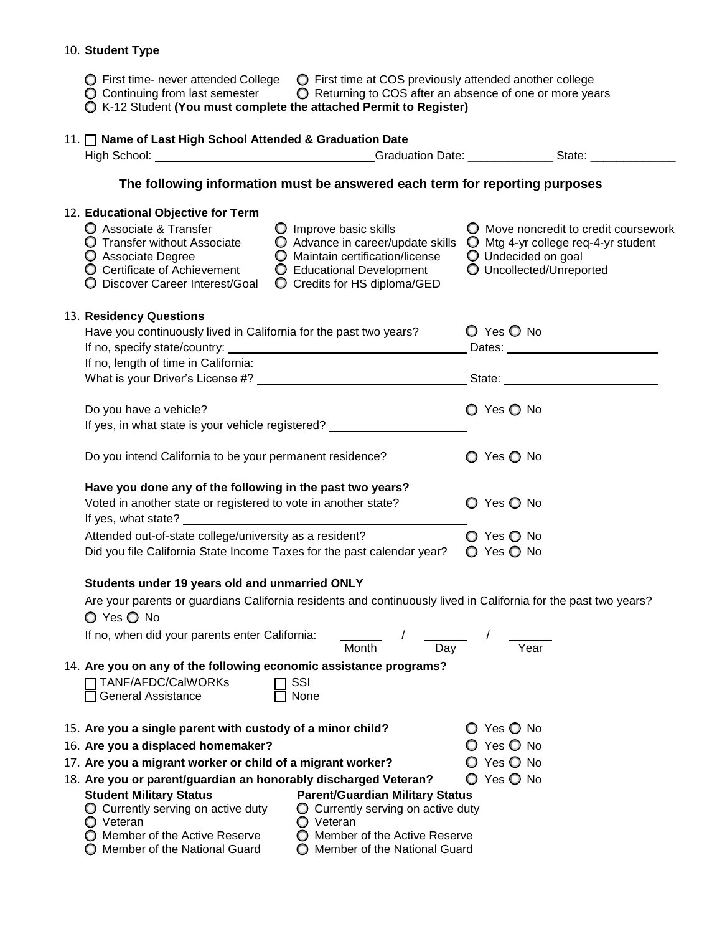#### 10. **Student Type**

- $\bigcirc$  First time- never attended College  $\bigcirc$  First time at COS previously attended another college
- $\bigcirc$  Continuing from last semester  $\bigcirc$  Returning to COS after an absence of one or more years
- K-12 Student **(You must complete the attached Permit to Register)**

## 11. **Name of Last High School Attended & Graduation Date** High School: \_\_\_\_\_\_\_\_\_\_\_\_\_\_\_\_\_\_\_\_\_\_\_\_\_\_\_\_\_\_\_\_\_\_Graduation Date: \_\_\_\_\_\_\_\_\_\_\_\_\_\_\_\_State: \_\_\_\_\_\_\_\_\_\_\_\_\_\_\_\_\_\_\_\_\_\_\_

### **The following information must be answered each term for reporting purposes**

|  | 12. Educational Objective for Term<br>O Associate & Transfer<br><b>O</b> Transfer without Associate<br>C Associate Degree<br>O Certificate of Achievement<br>O Discover Career Interest/Goal                                    | $\bigcirc$ Improve basic skills<br>Advance in career/update skills<br>O Maintain certification/license<br>C Educational Development<br>O Credits for HS diploma/GED  | O Move noncredit to credit coursework<br>$\bigcirc$ Mtg 4-yr college req-4-yr student<br>O Undecided on goal<br>O Uncollected/Unreported |
|--|---------------------------------------------------------------------------------------------------------------------------------------------------------------------------------------------------------------------------------|----------------------------------------------------------------------------------------------------------------------------------------------------------------------|------------------------------------------------------------------------------------------------------------------------------------------|
|  | 13. Residency Questions<br>Have you continuously lived in California for the past two years?                                                                                                                                    |                                                                                                                                                                      | O Yes O No                                                                                                                               |
|  | If no, specify state/country:<br><u> 1989 - Johann Stoff, deutscher Stoffen und der Stoffen und der Stoffen und der Stoffen und der Stoffen und der</u>                                                                         |                                                                                                                                                                      |                                                                                                                                          |
|  |                                                                                                                                                                                                                                 |                                                                                                                                                                      |                                                                                                                                          |
|  |                                                                                                                                                                                                                                 |                                                                                                                                                                      |                                                                                                                                          |
|  | Do you have a vehicle?                                                                                                                                                                                                          |                                                                                                                                                                      | O Yes O No                                                                                                                               |
|  | If yes, in what state is your vehicle registered? _________                                                                                                                                                                     |                                                                                                                                                                      |                                                                                                                                          |
|  | Do you intend California to be your permanent residence?                                                                                                                                                                        |                                                                                                                                                                      | O Yes O No                                                                                                                               |
|  | Have you done any of the following in the past two years?<br>Voted in another state or registered to vote in another state?                                                                                                     |                                                                                                                                                                      | O Yes O No                                                                                                                               |
|  | Attended out-of-state college/university as a resident?                                                                                                                                                                         |                                                                                                                                                                      | $O$ Yes $O$ No                                                                                                                           |
|  | Did you file California State Income Taxes for the past calendar year?                                                                                                                                                          |                                                                                                                                                                      | O Yes O No                                                                                                                               |
|  | Students under 19 years old and unmarried ONLY                                                                                                                                                                                  |                                                                                                                                                                      |                                                                                                                                          |
|  | O Yes O No                                                                                                                                                                                                                      |                                                                                                                                                                      | Are your parents or guardians California residents and continuously lived in California for the past two years?                          |
|  | If no, when did your parents enter California:                                                                                                                                                                                  | Month<br>$\overline{Day}$                                                                                                                                            | Year                                                                                                                                     |
|  | 14. Are you on any of the following economic assistance programs?                                                                                                                                                               |                                                                                                                                                                      |                                                                                                                                          |
|  | TANF/AFDC/CalWORKs<br>General Assistance                                                                                                                                                                                        | SSI<br>None                                                                                                                                                          |                                                                                                                                          |
|  | 15. Are you a single parent with custody of a minor child?                                                                                                                                                                      |                                                                                                                                                                      | O Yes O No                                                                                                                               |
|  | 16. Are you a displaced homemaker?                                                                                                                                                                                              |                                                                                                                                                                      | O Yes O No                                                                                                                               |
|  | 17. Are you a migrant worker or child of a migrant worker?                                                                                                                                                                      |                                                                                                                                                                      | O Yes O No                                                                                                                               |
|  | 18. Are you or parent/guardian an honorably discharged Veteran?<br><b>Student Military Status</b><br>$\bigcirc$ Currently serving on active duty<br>O Veteran<br>O Member of the Active Reserve<br>Member of the National Guard | <b>Parent/Guardian Military Status</b><br>$\bigcirc$ Currently serving on active duty<br>O Veteran<br>O Member of the Active Reserve<br>Member of the National Guard | ◯ Yes ◯ No                                                                                                                               |
|  |                                                                                                                                                                                                                                 |                                                                                                                                                                      |                                                                                                                                          |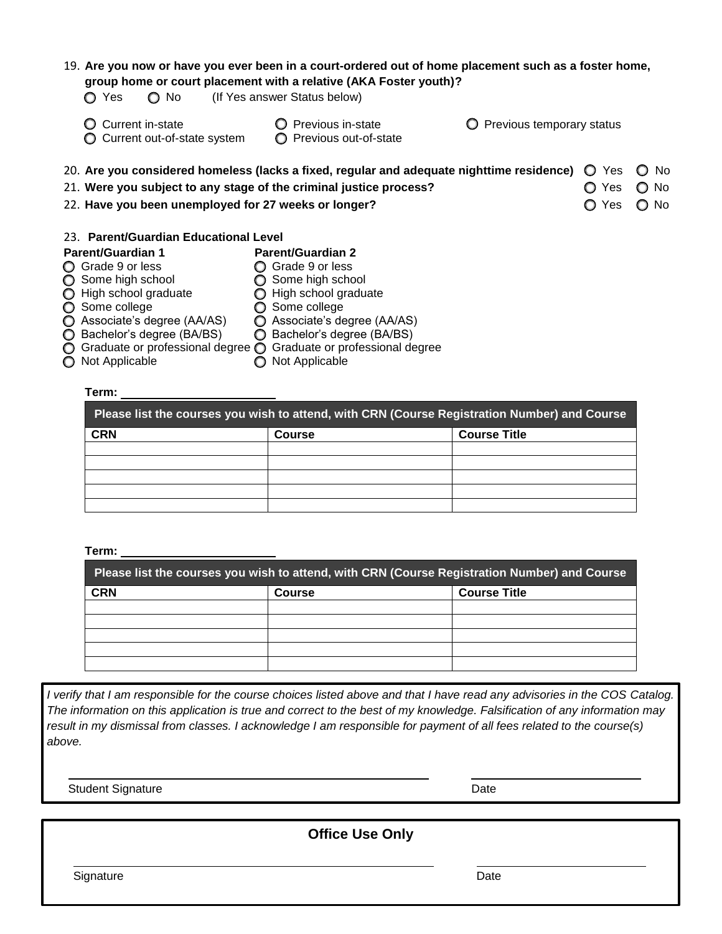| ◯ Yes<br>$\bigcirc$ No                                    | 19. Are you now or have you ever been in a court-ordered out of home placement such as a foster home,<br>group home or court placement with a relative (AKA Foster youth)?<br>(If Yes answer Status below) |                           |                 |               |
|-----------------------------------------------------------|------------------------------------------------------------------------------------------------------------------------------------------------------------------------------------------------------------|---------------------------|-----------------|---------------|
| Current in-state<br>O<br>Current out-of-state system<br>O | Previous in-state<br>O Previous out-of-state                                                                                                                                                               | Previous temporary status |                 |               |
|                                                           | 20. Are you considered homeless (lacks a fixed, regular and adequate nighttime residence)                                                                                                                  |                           | Yes<br>O        | No.<br>O      |
|                                                           | $\bigcirc$ No<br>21. Were you subject to any stage of the criminal justice process?<br>Yes<br>O                                                                                                            |                           |                 |               |
| 22. Have you been unemployed for 27 weeks or longer?      |                                                                                                                                                                                                            |                           | <b>Yes</b><br>O | $\bigcirc$ No |
| 23. Parent/Guardian Educational Level                     |                                                                                                                                                                                                            |                           |                 |               |
| <b>Parent/Guardian 1</b>                                  | <b>Parent/Guardian 2</b>                                                                                                                                                                                   |                           |                 |               |
| ◯ Grade 9 or less                                         | ◯ Grade 9 or less                                                                                                                                                                                          |                           |                 |               |
| ◯ Some high school                                        | ◯ Some high school                                                                                                                                                                                         |                           |                 |               |
| ◯ High school graduate                                    | ◯ High school graduate                                                                                                                                                                                     |                           |                 |               |
| ◯ Some college                                            | ◯ Some college                                                                                                                                                                                             |                           |                 |               |
| ◯ Associate's degree (AA/AS)                              | ◯ Associate's degree (AA/AS)                                                                                                                                                                               |                           |                 |               |
| ◯ Bachelor's degree (BA/BS)                               | ◯ Bachelor's degree (BA/BS)                                                                                                                                                                                |                           |                 |               |
|                                                           | Croducto or professional degree Croducto or professional degree                                                                                                                                            |                           |                 |               |

 $\bigcirc$  Graduate or professional degree  $\bigcirc$  Graduate or professional degree Not Applicable Not Applicable

# **Term:**

| Please list the courses you wish to attend, with CRN (Course Registration Number) and Course |               |                     |  |
|----------------------------------------------------------------------------------------------|---------------|---------------------|--|
| <b>CRN</b>                                                                                   | <b>Course</b> | <b>Course Title</b> |  |
|                                                                                              |               |                     |  |
|                                                                                              |               |                     |  |
|                                                                                              |               |                     |  |
|                                                                                              |               |                     |  |
|                                                                                              |               |                     |  |

### **Term:**

| Please list the courses you wish to attend, with CRN (Course Registration Number) and Course |               |                     |  |
|----------------------------------------------------------------------------------------------|---------------|---------------------|--|
| <b>CRN</b>                                                                                   | <b>Course</b> | <b>Course Title</b> |  |
|                                                                                              |               |                     |  |
|                                                                                              |               |                     |  |
|                                                                                              |               |                     |  |
|                                                                                              |               |                     |  |
|                                                                                              |               |                     |  |

*I verify that I am responsible for the course choices listed above and that I have read any advisories in the COS Catalog. The information on this application is true and correct to the best of my knowledge. Falsification of any information may result in my dismissal from classes. I acknowledge I am responsible for payment of all fees related to the course(s) above.*

Student Signature Date

**Office Use Only**

Signature Date